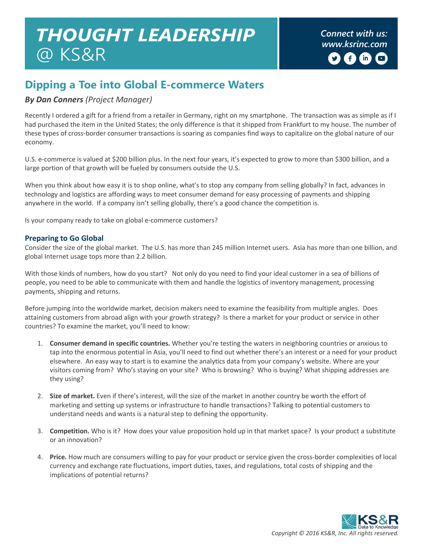# *THOUGHT LEADERSHIP* @ KS&R

## **Dipping a Toe into Global E-commerce Waters**

#### *By Dan Conners (Project Manager)*

Recently I ordered a gift for a friend from a retailer in Germany, right on my smartphone. The transaction was as simple as if I had purchased the item in the United States; the only difference is that it shipped from Frankfurt to my house. The number of these types of cross-border consumer transactions is soaring as companies find ways to capitalize on the global nature of our economy.

U.S. e-commerce is valued at \$200 billion plus. In the next four years, it's expected to grow to more than \$300 billion, and a large portion of that growth will be fueled by consumers outside the U.S.

When you think about how easy it is to shop online, what's to stop any company from selling globally? In fact, advances in technology and logistics are affording ways to meet consumer demand for easy processing of payments and shipping anywhere in the world. If a company isn't selling globally, there's a good chance the competition is.

Is your company ready to take on global e-commerce customers?

#### **Preparing to Go Global**

Consider the size of the global market. The U.S. has more than 245 million Internet users. Asia has more than one billion, and global Internet usage tops more than 2.2 billion.

With those kinds of numbers, how do you start? Not only do you need to find your ideal customer in a sea of billions of people, you need to be able to communicate with them and handle the logistics of inventory management, processing payments, shipping and returns.

Before jumping into the worldwide market, decision makers need to examine the feasibility from multiple angles. Does attaining customers from abroad align with your growth strategy? Is there a market for your product or service in other countries? To examine the market, you'll need to know:

- 1. **Consumer demand in specific countries.** Whether you're testing the waters in neighboring countries or anxious to tap into the enormous potential in Asia, you'll need to find out whether there's an interest or a need for your product elsewhere. An easy way to start is to examine the analytics data from your company's website. Where are your visitors coming from? Who's staying on your site? Who is browsing? Who is buying? What shipping addresses are they using?
- 2. **Size of market.** Even if there's interest, will the size of the market in another country be worth the effort of marketing and setting up systems or infrastructure to handle transactions? Talking to potential customers to understand needs and wants is a natural step to defining the opportunity.
- 3. **Competition.** Who is it? How does your value proposition hold up in that market space? Is your product a substitute or an innovation?
- 4. **Price.** How much are consumers willing to pay for your product or service given the cross-border complexities of local currency and exchange rate fluctuations, import duties, taxes, and regulations, total costs of shipping and the implications of potential returns?